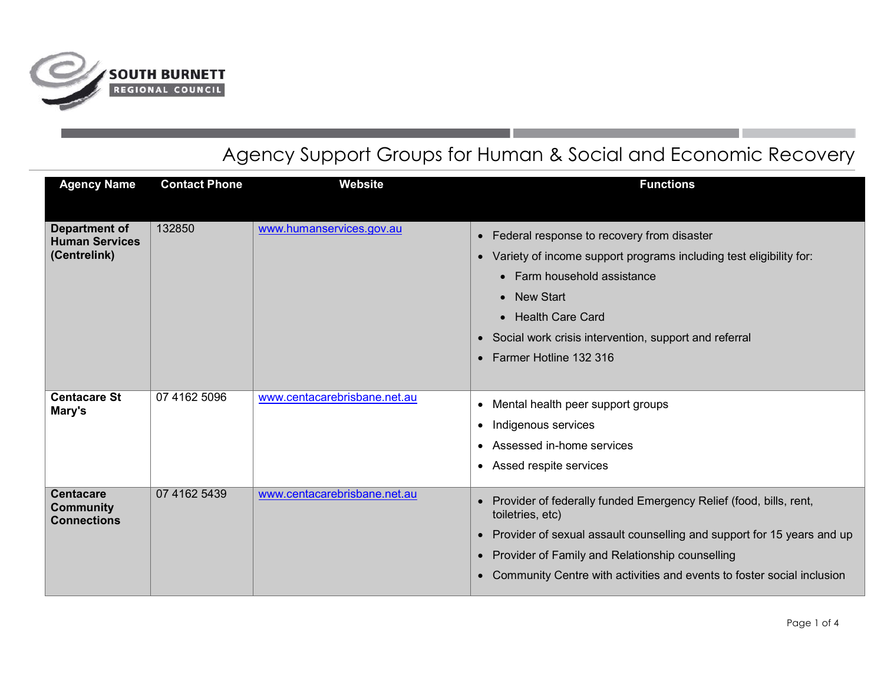

## Agency Support Groups for Human & Social and Economic Recovery

| <b>Agency Name</b>                                            | <b>Contact Phone</b> | <b>Website</b>               | <b>Functions</b>                                                                                                                                                                                                                                                                                     |
|---------------------------------------------------------------|----------------------|------------------------------|------------------------------------------------------------------------------------------------------------------------------------------------------------------------------------------------------------------------------------------------------------------------------------------------------|
| <b>Department of</b><br><b>Human Services</b><br>(Centrelink) | 132850               | www.humanservices.gov.au     | • Federal response to recovery from disaster<br>• Variety of income support programs including test eligibility for:<br>• Farm household assistance<br>• New Start<br>• Health Care Card<br>• Social work crisis intervention, support and referral<br>• Farmer Hotline 132 316                      |
| <b>Centacare St</b><br>Mary's                                 | 07 4162 5096         | www.centacarebrisbane.net.au | • Mental health peer support groups<br>• Indigenous services<br>• Assessed in-home services<br>• Assed respite services                                                                                                                                                                              |
| <b>Centacare</b><br><b>Community</b><br><b>Connections</b>    | 07 4162 5439         | www.centacarebrisbane.net.au | • Provider of federally funded Emergency Relief (food, bills, rent,<br>toiletries, etc)<br>• Provider of sexual assault counselling and support for 15 years and up<br>• Provider of Family and Relationship counselling<br>• Community Centre with activities and events to foster social inclusion |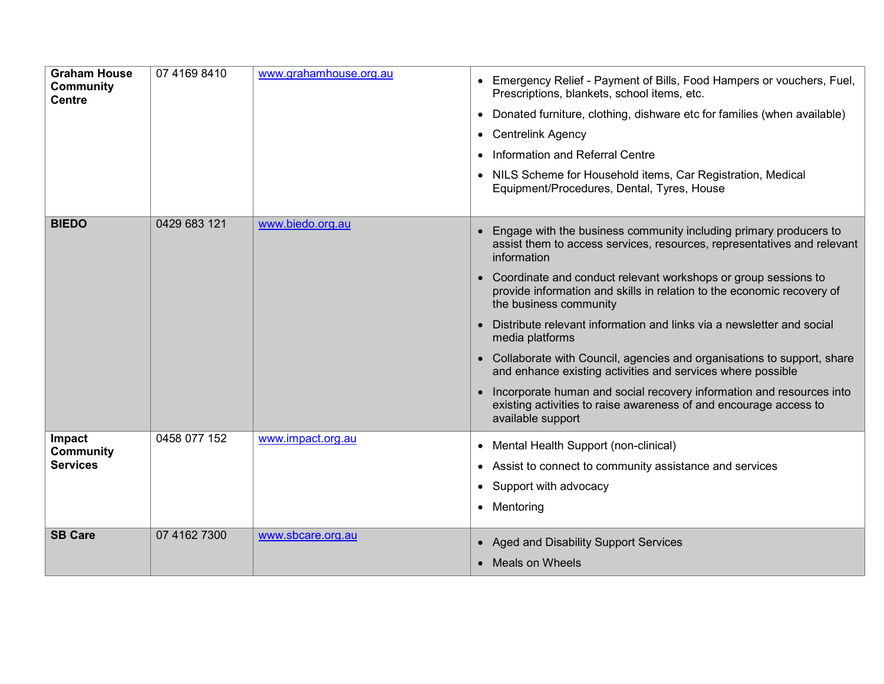| <b>Graham House</b><br><b>Community</b><br><b>Centre</b> | 07 4169 8410 | www.grahamhouse.org.au | • Emergency Relief - Payment of Bills, Food Hampers or vouchers, Fuel,<br>Prescriptions, blankets, school items, etc.<br>Donated furniture, clothing, dishware etc for families (when available)<br>$\bullet$<br>• Centrelink Agency<br>Information and Referral Centre<br>• NILS Scheme for Household items, Car Registration, Medical<br>Equipment/Procedures, Dental, Tyres, House                                                                                                                                                                                                                                                                                                                                                    |
|----------------------------------------------------------|--------------|------------------------|------------------------------------------------------------------------------------------------------------------------------------------------------------------------------------------------------------------------------------------------------------------------------------------------------------------------------------------------------------------------------------------------------------------------------------------------------------------------------------------------------------------------------------------------------------------------------------------------------------------------------------------------------------------------------------------------------------------------------------------|
| <b>BIEDO</b>                                             | 0429 683 121 | www.biedo.org.au       | Engage with the business community including primary producers to<br>assist them to access services, resources, representatives and relevant<br>information<br>Coordinate and conduct relevant workshops or group sessions to<br>provide information and skills in relation to the economic recovery of<br>the business community<br>Distribute relevant information and links via a newsletter and social<br>media platforms<br>Collaborate with Council, agencies and organisations to support, share<br>and enhance existing activities and services where possible<br>Incorporate human and social recovery information and resources into<br>existing activities to raise awareness of and encourage access to<br>available support |
| Impact<br><b>Community</b><br><b>Services</b>            | 0458 077 152 | www.impact.org.au      | Mental Health Support (non-clinical)<br>• Assist to connect to community assistance and services<br>Support with advocacy<br>$\bullet$<br>• Mentoring                                                                                                                                                                                                                                                                                                                                                                                                                                                                                                                                                                                    |
| <b>SB Care</b>                                           | 07 4162 7300 | www.sbcare.org.au      | • Aged and Disability Support Services<br>• Meals on Wheels                                                                                                                                                                                                                                                                                                                                                                                                                                                                                                                                                                                                                                                                              |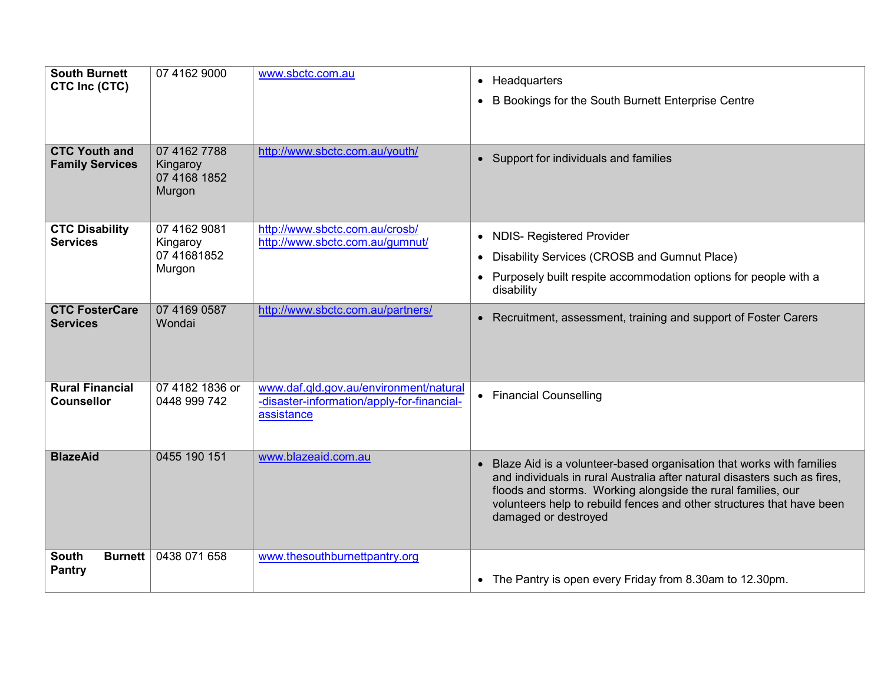| <b>South Burnett</b><br>CTC Inc (CTC)          | 07 4162 9000                                       | www.sbctc.com.au                                                                                   | • Headquarters<br>B Bookings for the South Burnett Enterprise Centre<br>$\bullet$                                                                                                                                                                                                                                    |
|------------------------------------------------|----------------------------------------------------|----------------------------------------------------------------------------------------------------|----------------------------------------------------------------------------------------------------------------------------------------------------------------------------------------------------------------------------------------------------------------------------------------------------------------------|
| <b>CTC Youth and</b><br><b>Family Services</b> | 07 4162 7788<br>Kingaroy<br>07 4168 1852<br>Murgon | http://www.sbctc.com.au/youth/                                                                     | • Support for individuals and families                                                                                                                                                                                                                                                                               |
| <b>CTC Disability</b><br><b>Services</b>       | 07 4162 9081<br>Kingaroy<br>07 41681852<br>Murgon  | http://www.sbctc.com.au/crosb/<br>http://www.sbctc.com.au/gumnut/                                  | • NDIS- Registered Provider<br>Disability Services (CROSB and Gumnut Place)<br>$\bullet$<br>Purposely built respite accommodation options for people with a<br>disability                                                                                                                                            |
| <b>CTC FosterCare</b><br><b>Services</b>       | 07 4169 0587<br>Wondai                             | http://www.sbctc.com.au/partners/                                                                  | • Recruitment, assessment, training and support of Foster Carers                                                                                                                                                                                                                                                     |
| <b>Rural Financial</b><br><b>Counsellor</b>    | 07 4182 1836 or<br>0448 999 742                    | www.daf.qld.gov.au/environment/natural<br>-disaster-information/apply-for-financial-<br>assistance | • Financial Counselling                                                                                                                                                                                                                                                                                              |
| <b>BlazeAid</b>                                | 0455 190 151                                       | www.blazeaid.com.au                                                                                | • Blaze Aid is a volunteer-based organisation that works with families<br>and individuals in rural Australia after natural disasters such as fires,<br>floods and storms. Working alongside the rural families, our<br>volunteers help to rebuild fences and other structures that have been<br>damaged or destroyed |
| Burnett<br><b>South</b><br><b>Pantry</b>       | 0438 071 658                                       | www.thesouthburnettpantry.org                                                                      | • The Pantry is open every Friday from 8.30am to 12.30pm.                                                                                                                                                                                                                                                            |